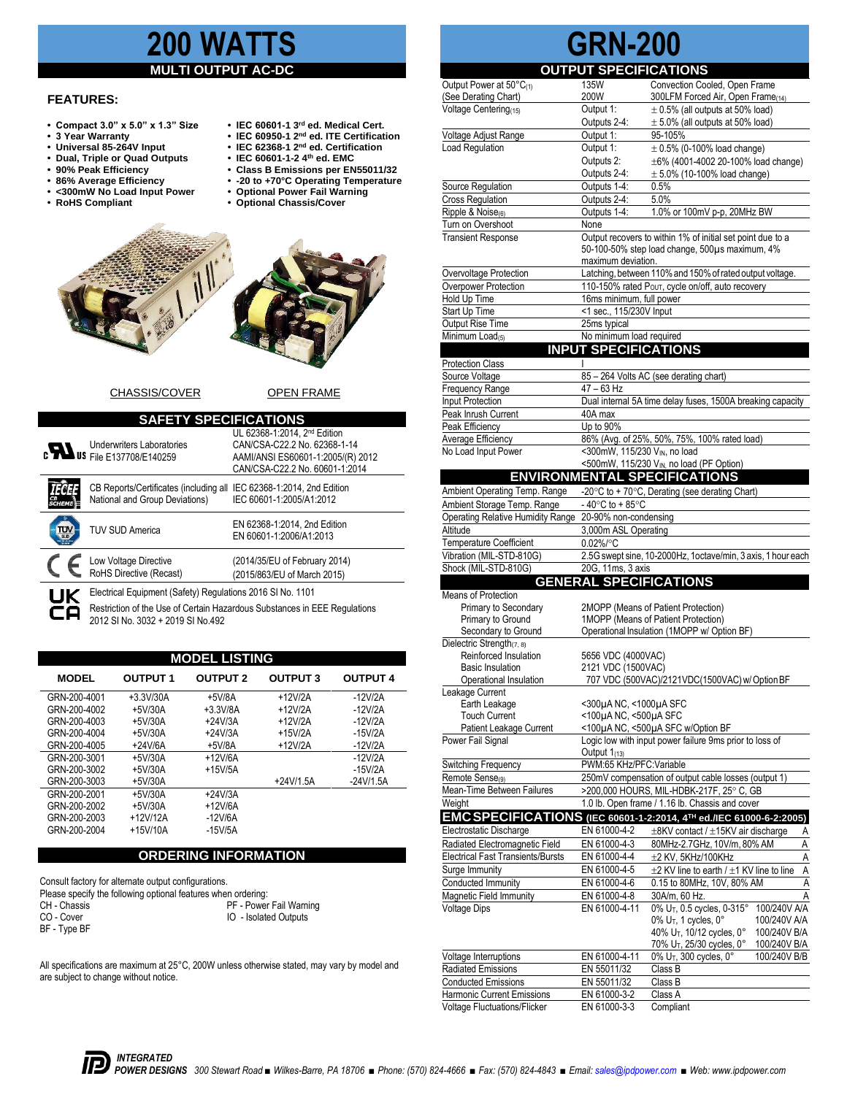## **200 WAT**

#### **MULTI OUTPUT**

#### **FEATURES:**

- Compact 3.0" x 5.0" x 1.3" Size
- **3 Year Warranty IEC 60950-1 2**
- **Universal 85-264V Input IEC 62368-1 2**
- **Dual, Triple or Quad Outputs**<br> **90% Peak Efficiency**
- 
- 
- 86% Average Efficiency<br>• 86% Average Efficiency<br>• <300mW No Load Input Power<br>• RoHS Compliant
- 
- IEC 60601-1 3<sup>rd</sup> ed. Medical Cert.
- **IEC 60950-1** 2<sup>nd</sup> ed. **ITE Certification**
- IEC 62368-1 2<sup>nd</sup> ed. Certification<br>• IEC 60601-1-2 4<sup>th</sup> ed. EMC
- **90% Peak Efficiency Class B Emissions per EN55011/32**
- **86% Average Efficiency -20 to +70°C Operating Temperature** 
	-
- **Optional Chassis/Cover**





#### CHASSIS/COVER OPEN FRAME

| <b>SAFETY SPECIFICATIONS</b>                                                                                                                                                                       |                                                                                                                                                 |  |  |  |
|----------------------------------------------------------------------------------------------------------------------------------------------------------------------------------------------------|-------------------------------------------------------------------------------------------------------------------------------------------------|--|--|--|
| <b>Underwriters Laboratories</b><br><b>c</b> US File E137708/E140259                                                                                                                               | UL 62368-1:2014, 2 <sup>nd</sup> Edition<br>CAN/CSA-C22.2 No. 62368-1-14<br>AAMI/ANSI ES60601-1:2005/(R) 2012<br>CAN/CSA-C22.2 No. 60601-1:2014 |  |  |  |
| CB Reports/Certificates (including all<br>National and Group Deviations)                                                                                                                           | IEC 62368-1:2014, 2nd Edition<br>IEC 60601-1:2005/A1:2012                                                                                       |  |  |  |
| <b>TUV SUD America</b>                                                                                                                                                                             | EN 62368-1:2014, 2nd Edition<br>EN 60601-1:2006/A1:2013                                                                                         |  |  |  |
| Low Voltage Directive<br>RoHS Directive (Recast)                                                                                                                                                   | (2014/35/EU of February 2014)<br>(2015/863/EU of March 2015)                                                                                    |  |  |  |
| Electrical Equipment (Safety) Regulations 2016 SI No. 1101<br>UK<br>Restriction of the Use of Certain Hazardous Substances in EEE Regulations<br>$0.110 \times 111 = 2022 - 2010 \times 111 = 102$ |                                                                                                                                                 |  |  |  |

Restriction of the Use of Certain Hazardous Substances in EEE Regulations 2012 SI No. 3032 + 2019 SI No.492

| <b>MODEL LISTING</b> |                 |                 |                 |                 |  |
|----------------------|-----------------|-----------------|-----------------|-----------------|--|
| <b>MODEL</b>         | <b>OUTPUT 1</b> | <b>OUTPUT 2</b> | <b>OUTPUT 3</b> | <b>OUTPUT 4</b> |  |
| GRN-200-4001         | $+3.3V/30A$     | $+5V/8A$        | $+12V/2A$       | $-12V/2A$       |  |
| GRN-200-4002         | $+5V/30A$       | $+3.3V/8A$      | $+12V/2A$       | $-12V/2A$       |  |
| GRN-200-4003         | $+5V/30A$       | $+24V/3A$       | $+12V/2A$       | $-12V/2A$       |  |
| GRN-200-4004         | $+5V/30A$       | $+24V/3A$       | $+15V/2A$       | $-15V/2A$       |  |
| GRN-200-4005         | $+24V/6A$       | $+5V/8A$        | $+12V/2A$       | $-12V/2A$       |  |
| GRN-200-3001         | $+5V/30A$       | $+12V/6A$       |                 | $-12V/2A$       |  |
| GRN-200-3002         | $+5V/30A$       | $+15V/5A$       |                 | $-15V/2A$       |  |
| GRN-200-3003         | $+5V/30A$       |                 | $+24V/1.5A$     | $-24V/1.5A$     |  |
| GRN-200-2001         | $+5V/30A$       | $+24V/3A$       |                 |                 |  |
| GRN-200-2002         | $+5V/30A$       | $+12V/6A$       |                 |                 |  |
| GRN-200-2003         | $+12V/12A$      | $-12V/6A$       |                 |                 |  |
| GRN-200-2004         | $+15V/10A$      | $-15V/5A$       |                 |                 |  |

#### **ORDERING INFORMATION**

Consult factory for alternate output configurations. Please specify the following optional features when ordering:<br>CH - Chassis<br>PF - Power CH - Chassis PF - Power Fail Warning<br>
CO - Cover<br>
CO - Cover IO - Isolated Outputs BF - Type BF

All specifications are maximum at 25°C, 200W unless otherwise stated, may vary by model and are subject to change without notice.

# **GRN-200**

|                                                                            | <b>OUTPUT SPECIFICATIONS</b>                                                                                                       |                                                                                            |  |
|----------------------------------------------------------------------------|------------------------------------------------------------------------------------------------------------------------------------|--------------------------------------------------------------------------------------------|--|
| Output Power at 50°C(1)                                                    | 135W                                                                                                                               | Convection Cooled, Open Frame                                                              |  |
| (See Derating Chart)                                                       | 200W                                                                                                                               | 300LFM Forced Air, Open Frame(14)                                                          |  |
| Voltage Centering <sub>(15)</sub>                                          | Output 1:<br>Outputs 2-4:                                                                                                          | $\pm$ 0.5% (all outputs at 50% load)<br>$\pm$ 5.0% (all outputs at 50% load)               |  |
| Voltage Adjust Range                                                       | Output 1:                                                                                                                          | 95-105%                                                                                    |  |
| Load Regulation                                                            | Output 1:                                                                                                                          | $\pm$ 0.5% (0-100% load change)                                                            |  |
|                                                                            | Outputs 2:                                                                                                                         | ±6% (4001-4002 20-100% load change)                                                        |  |
|                                                                            | Outputs 2-4:                                                                                                                       | $\pm$ 5.0% (10-100% load change)                                                           |  |
| <b>Source Regulation</b>                                                   | Outputs 1-4:                                                                                                                       | 0.5%                                                                                       |  |
| <b>Cross Regulation</b>                                                    | Outputs 2-4:                                                                                                                       | 5.0%                                                                                       |  |
| Ripple & Noise(6)                                                          | Outputs 1-4:                                                                                                                       | 1.0% or 100mV p-p, 20MHz BW                                                                |  |
| Turn on Overshoot<br><b>Transient Response</b>                             | None                                                                                                                               |                                                                                            |  |
|                                                                            | Output recovers to within 1% of initial set point due to a<br>50-100-50% step load change, 500µs maximum, 4%<br>maximum deviation. |                                                                                            |  |
| Overvoltage Protection                                                     | Latching, between 110% and 150% of rated output voltage.                                                                           |                                                                                            |  |
| Overpower Protection                                                       | 110-150% rated Pour, cycle on/off, auto recovery<br>16ms minimum, full power                                                       |                                                                                            |  |
| Hold Up Time<br>Start Up Time                                              | <1 sec., 115/230V Input                                                                                                            |                                                                                            |  |
| Output Rise Time                                                           | 25ms typical                                                                                                                       |                                                                                            |  |
| Minimum Load(5)                                                            | No minimum load required                                                                                                           |                                                                                            |  |
|                                                                            | <b>INPUT SPECIFICATIONS</b>                                                                                                        |                                                                                            |  |
| Protection Class                                                           |                                                                                                                                    |                                                                                            |  |
| Source Voltage                                                             |                                                                                                                                    | 85 - 264 Volts AC (see derating chart)                                                     |  |
| Frequency Range                                                            | 47 - 63 Hz                                                                                                                         |                                                                                            |  |
| Input Protection                                                           |                                                                                                                                    | Dual internal 5A time delay fuses, 1500A breaking capacity                                 |  |
| Peak Inrush Current<br>Peak Efficiency                                     | 40A max<br>Up to 90%                                                                                                               |                                                                                            |  |
| Average Efficiency                                                         |                                                                                                                                    | 86% (Avg. of 25%, 50%, 75%, 100% rated load)                                               |  |
| No Load Input Power                                                        | <300mW, 115/230 VIN, no load                                                                                                       |                                                                                            |  |
|                                                                            |                                                                                                                                    | <500mW, 115/230 VIN, no load (PF Option)                                                   |  |
|                                                                            |                                                                                                                                    | <b>ENVIRONMENTAL SPECIFICATIONS</b>                                                        |  |
| Ambient Operating Temp. Range                                              |                                                                                                                                    | -20 $\degree$ C to + 70 $\degree$ C, Derating (see derating Chart)                         |  |
| Ambient Storage Temp. Range                                                | -40 $\degree$ C to +85 $\degree$ C                                                                                                 |                                                                                            |  |
| Operating Relative Humidity Range                                          | 20-90% non-condensing                                                                                                              |                                                                                            |  |
| Altitude                                                                   | 3,000m ASL Operating                                                                                                               |                                                                                            |  |
| Temperature Coefficient                                                    | 0.02%/°C                                                                                                                           |                                                                                            |  |
| Vibration (MIL-STD-810G)<br>Shock (MIL-STD-810G)                           | 20G, 11ms, 3 axis                                                                                                                  | 2.5G swept sine, 10-2000Hz, 1octave/min, 3 axis, 1 hour each                               |  |
|                                                                            | <b>GENERAL SPECIFICATIONS</b>                                                                                                      |                                                                                            |  |
| Means of Protection                                                        |                                                                                                                                    |                                                                                            |  |
| Primary to Secondary                                                       |                                                                                                                                    | 2MOPP (Means of Patient Protection)                                                        |  |
| Primary to Ground                                                          |                                                                                                                                    | 1MOPP (Means of Patient Protection)                                                        |  |
| Secondary to Ground                                                        |                                                                                                                                    | Operational Insulation (1MOPP w/ Option BF)                                                |  |
| Dielectric Strength(7, 8)<br>Reinforced Insulation                         |                                                                                                                                    |                                                                                            |  |
| <b>Basic Insulation</b>                                                    | 5656 VDC (4000VAC)<br>2121 VDC (1500VAC)                                                                                           |                                                                                            |  |
| Operational Insulation                                                     |                                                                                                                                    | 707 VDC (500VAC)/2121VDC(1500VAC) w/ Option BF                                             |  |
| Leakage Current                                                            |                                                                                                                                    |                                                                                            |  |
| Earth Leakage                                                              | <300µA NC, <1000µA SFC                                                                                                             |                                                                                            |  |
| <b>Touch Current</b>                                                       | <100µA NC, <500µA SFC                                                                                                              |                                                                                            |  |
| Patient Leakage Current<br>Power Fail Signal                               | <100µA NC, <500µA SFC w/Option BF<br>Logic low with input power failure 9ms prior to loss of                                       |                                                                                            |  |
|                                                                            | Output $1_{(13)}$                                                                                                                  |                                                                                            |  |
| Switching Frequency                                                        | PWM:65 KHz/PFC:Variable                                                                                                            |                                                                                            |  |
| Remote Sense(9)                                                            |                                                                                                                                    | 250mV compensation of output cable losses (output 1)                                       |  |
| Mean-Time Between Failures                                                 |                                                                                                                                    | >200,000 HOURS, MIL-HDBK-217F, 25° C, GB                                                   |  |
| Weight                                                                     |                                                                                                                                    | 1.0 lb. Open frame / 1.16 lb. Chassis and cover                                            |  |
|                                                                            |                                                                                                                                    | EMC SPECIFICATIONS (IEC 60601-1-2:2014, 4TH ed./IEC 61000-6-2:2005)                        |  |
| Electrostatic Discharge                                                    | EN 61000-4-2                                                                                                                       | ±8KV contact / ±15KV air discharge<br>A                                                    |  |
| Radiated Electromagnetic Field<br><b>Electrical Fast Transients/Bursts</b> | EN 61000-4-3                                                                                                                       | 80MHz-2.7GHz, 10V/m, 80% AM<br>А                                                           |  |
|                                                                            | EN 61000-4-4                                                                                                                       | A<br>$\pm$ 2 KV, 5KHz/100KHz                                                               |  |
| Surge Immunity<br>Conducted Immunity                                       | EN 61000-4-5<br>EN 61000-4-6                                                                                                       | A<br>$\pm 2$ KV line to earth / $\pm 1$ KV line to line<br>A<br>0.15 to 80MHz, 10V, 80% AM |  |
| Magnetic Field Immunity                                                    | EN 61000-4-8                                                                                                                       | 30A/m, 60 Hz.<br>Α                                                                         |  |
| Voltage Dips                                                               | EN 61000-4-11                                                                                                                      | 0% U <sub>T</sub> , 0.5 cycles, 0-315°<br>100/240V A/A                                     |  |
|                                                                            |                                                                                                                                    | $0\%$ U <sub>T</sub> , 1 cycles, $0^{\circ}$<br>100/240V A/A                               |  |
|                                                                            |                                                                                                                                    | 40% U <sub>T</sub> , 10/12 cycles, 0°<br>100/240V B/A                                      |  |
|                                                                            |                                                                                                                                    | 70% U <sub>T</sub> , 25/30 cycles, 0°<br>100/240V B/A                                      |  |
| Voltage Interruptions<br>Radiated Emissions                                | EN 61000-4-11                                                                                                                      | 0% U <sub>T</sub> , 300 cycles, 0°<br>100/240V B/B                                         |  |
| <b>Conducted Emissions</b>                                                 | EN 55011/32<br>EN 55011/32                                                                                                         | Class B<br>Class B                                                                         |  |
| Harmonic Current Emissions                                                 | EN 61000-3-2                                                                                                                       | Class A                                                                                    |  |
| <b>Voltage Fluctuations/Flicker</b>                                        | EN 61000-3-3                                                                                                                       | Compliant                                                                                  |  |